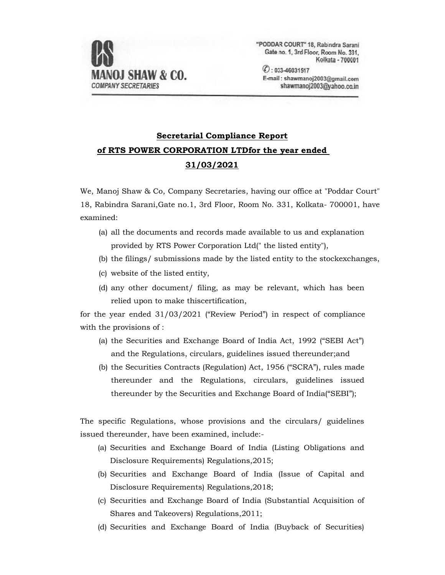

"PODDAR COURT" 18, Rabindra Sarani Gate no. 1, 3rd Floor, Room No. 331, Kolkata - 700001

 $O: 033 - 46031517$ E-mail: shawmanoj2003@gmail.com shawmanoi2003@vahoo.co.in

## **Secretarial Compliance Report of RTS POWER CORPORATION LTDfor the year ended 31/03/2021**

We, Manoj Shaw & Co, Company Secretaries, having our office at "Poddar Court" 18, Rabindra Sarani,Gate no.1, 3rd Floor, Room No. 331, Kolkata- 700001, have examined:

- (a) all the documents and records made available to us and explanation provided by RTS Power Corporation Ltd(" the listed entity"),
- (b) the filings/ submissions made by the listed entity to the stockexchanges,
- (c) website of the listed entity,
- (d) any other document/ filing, as may be relevant, which has been relied upon to make thiscertification,

for the year ended 31/03/2021 ("Review Period") in respect of compliance with the provisions of :

- (a) the Securities and Exchange Board of India Act, 1992 ("SEBI Act") and the Regulations, circulars, guidelines issued thereunder;and
- (b) the Securities Contracts (Regulation) Act, 1956 ("SCRA"), rules made thereunder and the Regulations, circulars, guidelines issued thereunder by the Securities and Exchange Board of India("SEBI");

The specific Regulations, whose provisions and the circulars/ guidelines issued thereunder, have been examined, include:-

- (a) Securities and Exchange Board of India (Listing Obligations and Disclosure Requirements) Regulations,2015;
- (b) Securities and Exchange Board of India (Issue of Capital and Disclosure Requirements) Regulations,2018;
- (c) Securities and Exchange Board of India (Substantial Acquisition of Shares and Takeovers) Regulations,2011;
- (d) Securities and Exchange Board of India (Buyback of Securities)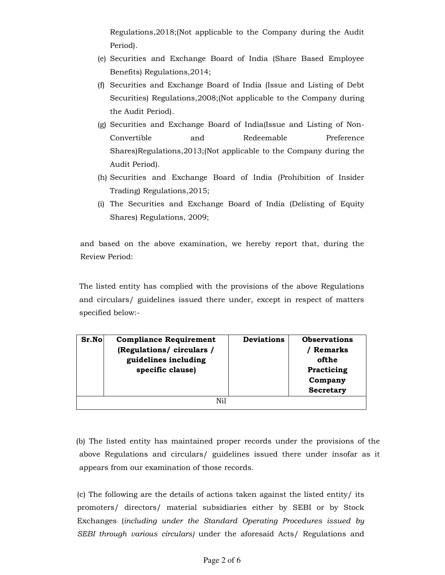Regulations,2018;(Not applicable to the Company during the Audit Period).

- (e) Securities and Exchange Board of India (Share Based Employee Benefits) Regulations,2014;
- (f) Securities and Exchange Board of India (Issue and Listing of Debt Securities) Regulations,2008;(Not applicable to the Company during the Audit Period).
- (g) Securities and Exchange Board of India(Issue and Listing of Non-Convertible and Redeemable Preference Shares)Regulations,2013;(Not applicable to the Company during the Audit Period).
- (h) Securities and Exchange Board of India (Prohibition of Insider Trading) Regulations,2015;
- (i) The Securities and Exchange Board of India (Delisting of Equity Shares) Regulations, 2009;

and based on the above examination, we hereby report that, during the Review Period:

The listed entity has complied with the provisions of the above Regulations and circulars/ guidelines issued there under, except in respect of matters specified below:-

| Sr.No | <b>Compliance Requirement</b><br>(Regulations/ circulars /<br>guidelines including<br>specific clause) | <b>Deviations</b> | <b>Observations</b><br><b>Remarks</b><br>ofthe<br>Practicing<br>Company<br><b>Secretary</b> |
|-------|--------------------------------------------------------------------------------------------------------|-------------------|---------------------------------------------------------------------------------------------|
|       | Ni1                                                                                                    |                   |                                                                                             |

(b) The listed entity has maintained proper records under the provisions of the above Regulations and circulars/ guidelines issued there under insofar as it appears from our examination of those records.

(c) The following are the details of actions taken against the listed entity/ its promoters/ directors/ material subsidiaries either by SEBI or by Stock Exchanges (*including under the Standard Operating Procedures issued by SEBI through various circulars)* under the aforesaid Acts/ Regulations and